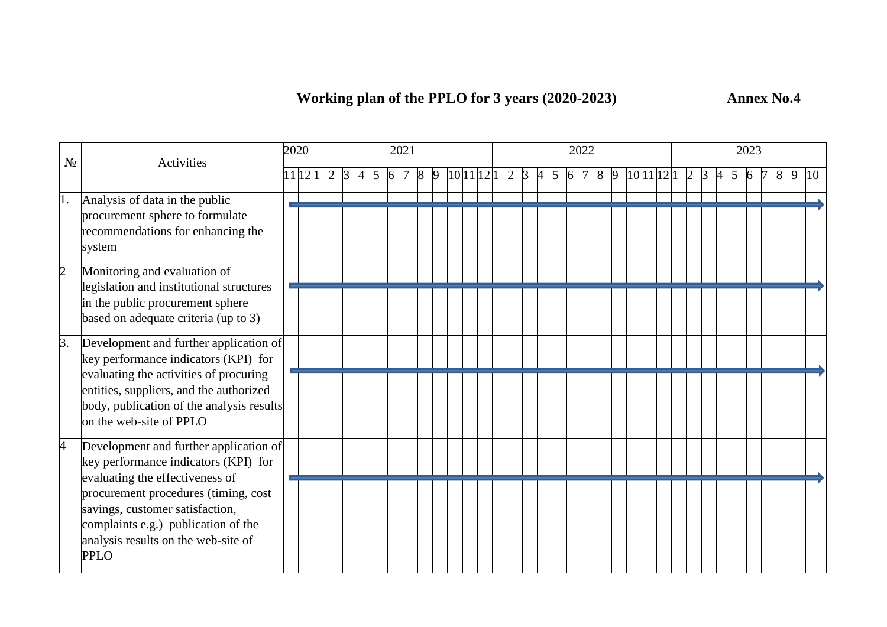| $N_2$          | Activities                                                                                                                                                                                                                                  | 2020 |         |                |    |    | 2021 |   |  |            |  |     |                |                |   | 2022 |   |  |            |                |         |                     | 2023 |   |   |    |
|----------------|---------------------------------------------------------------------------------------------------------------------------------------------------------------------------------------------------------------------------------------------|------|---------|----------------|----|----|------|---|--|------------|--|-----|----------------|----------------|---|------|---|--|------------|----------------|---------|---------------------|------|---|---|----|
|                |                                                                                                                                                                                                                                             |      | 11 12 1 | $\overline{2}$ | 3. | 5. | 6    | 8 |  | 10 11 12 1 |  | 2 3 | $\overline{A}$ | $\overline{5}$ | 6 |      | 9 |  | 10 11 12 1 | $\overline{2}$ | $\beta$ | $\overline{A}$<br>5 | 6    | 8 | 9 | 10 |
| 1.             | Analysis of data in the public<br>procurement sphere to formulate<br>recommendations for enhancing the<br>system                                                                                                                            |      |         |                |    |    |      |   |  |            |  |     |                |                |   |      |   |  |            |                |         |                     |      |   |   |    |
| $\overline{2}$ | Monitoring and evaluation of<br>legislation and institutional structures<br>in the public procurement sphere<br>based on adequate criteria (up to 3)                                                                                        |      |         |                |    |    |      |   |  |            |  |     |                |                |   |      |   |  |            |                |         |                     |      |   |   |    |
| 3.             | Development and further application of<br>key performance indicators (KPI) for<br>evaluating the activities of procuring<br>entities, suppliers, and the authorized<br>body, publication of the analysis results<br>on the web-site of PPLO |      |         |                |    |    |      |   |  |            |  |     |                |                |   |      |   |  |            |                |         |                     |      |   |   |    |
| 4              | Development and further application of<br>key performance indicators (KPI) for<br>evaluating the effectiveness of                                                                                                                           |      |         |                |    |    |      |   |  |            |  |     |                |                |   |      |   |  |            |                |         |                     |      |   |   |    |
|                | procurement procedures (timing, cost<br>savings, customer satisfaction,<br>complaints e.g.) publication of the<br>analysis results on the web-site of<br>PPLO                                                                               |      |         |                |    |    |      |   |  |            |  |     |                |                |   |      |   |  |            |                |         |                     |      |   |   |    |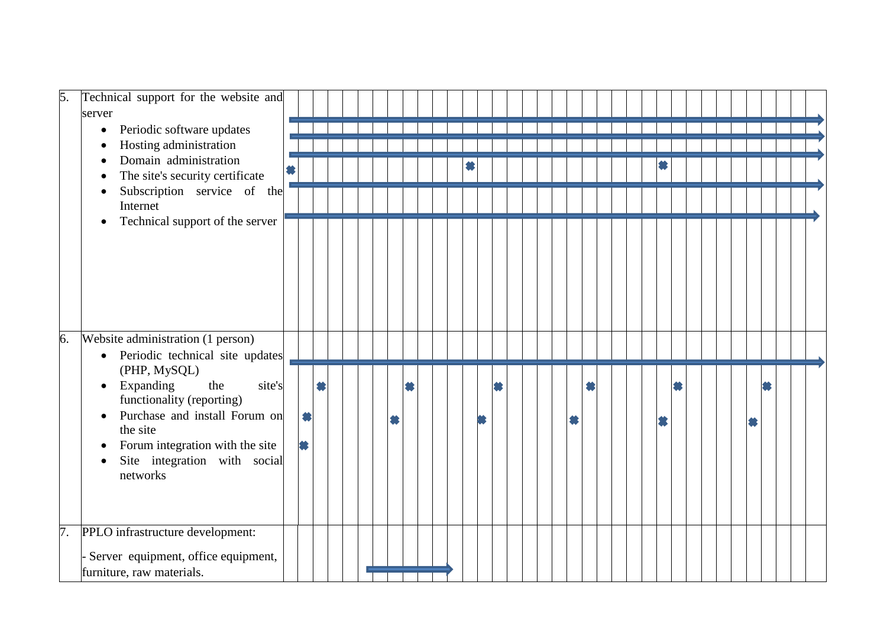| 5.<br>Technical support for the website and                                                           |        |   |   |  |   |   |  |  |  |   |  |  |  |  |   |  |  |
|-------------------------------------------------------------------------------------------------------|--------|---|---|--|---|---|--|--|--|---|--|--|--|--|---|--|--|
| server                                                                                                |        |   |   |  |   |   |  |  |  |   |  |  |  |  |   |  |  |
| Periodic software updates<br>$\bullet$                                                                |        |   |   |  |   |   |  |  |  |   |  |  |  |  |   |  |  |
| Hosting administration<br>$\bullet$                                                                   |        |   |   |  |   |   |  |  |  |   |  |  |  |  |   |  |  |
| Domain administration                                                                                 |        |   |   |  |   |   |  |  |  |   |  |  |  |  |   |  |  |
| The site's security certificate                                                                       |        |   |   |  |   |   |  |  |  |   |  |  |  |  |   |  |  |
| Subscription service of the<br>Internet                                                               |        |   |   |  |   |   |  |  |  |   |  |  |  |  |   |  |  |
| Technical support of the server<br>$\bullet$                                                          |        |   |   |  |   |   |  |  |  |   |  |  |  |  |   |  |  |
|                                                                                                       |        |   |   |  |   |   |  |  |  |   |  |  |  |  |   |  |  |
| 6.<br>Website administration (1 person)                                                               |        |   |   |  |   |   |  |  |  |   |  |  |  |  |   |  |  |
| Periodic technical site updates<br>$\bullet$                                                          |        |   |   |  |   |   |  |  |  |   |  |  |  |  |   |  |  |
| (PHP, MySQL)                                                                                          |        |   |   |  |   |   |  |  |  |   |  |  |  |  |   |  |  |
| Expanding<br>the<br>$\bullet$                                                                         | site's |   | 養 |  |   | 當 |  |  |  |   |  |  |  |  |   |  |  |
| functionality (reporting)                                                                             |        |   |   |  |   |   |  |  |  |   |  |  |  |  |   |  |  |
| Purchase and install Forum on<br>$\bullet$                                                            |        | 纂 |   |  | 怠 |   |  |  |  | 纂 |  |  |  |  | 爹 |  |  |
| the site                                                                                              |        |   |   |  |   |   |  |  |  |   |  |  |  |  |   |  |  |
| Forum integration with the site<br>$\bullet$<br>Site integration with social<br>$\bullet$<br>networks |        | 3 |   |  |   |   |  |  |  |   |  |  |  |  |   |  |  |
| $\overline{7}$ .<br>PPLO infrastructure development:                                                  |        |   |   |  |   |   |  |  |  |   |  |  |  |  |   |  |  |
| Server equipment, office equipment,<br>furniture, raw materials.                                      |        |   |   |  |   |   |  |  |  |   |  |  |  |  |   |  |  |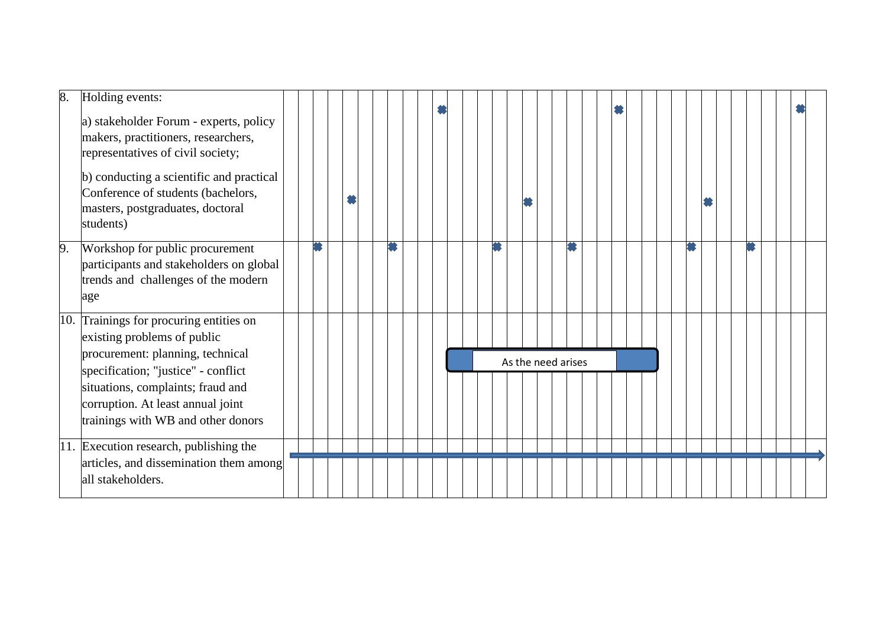| 8. | Holding events:<br>a) stakeholder Forum - experts, policy<br>makers, practitioners, researchers,<br>representatives of civil society;<br>b) conducting a scientific and practical<br>Conference of students (bachelors,<br>masters, postgraduates, doctoral<br>students) |  |  |  |  |  |  |  |  |                    |  |  |  |  |  |  |  |  |  |
|----|--------------------------------------------------------------------------------------------------------------------------------------------------------------------------------------------------------------------------------------------------------------------------|--|--|--|--|--|--|--|--|--------------------|--|--|--|--|--|--|--|--|--|
| 9. | Workshop for public procurement<br>participants and stakeholders on global<br>trends and challenges of the modern<br>age                                                                                                                                                 |  |  |  |  |  |  |  |  |                    |  |  |  |  |  |  |  |  |  |
|    | 10. Trainings for procuring entities on<br>existing problems of public<br>procurement: planning, technical                                                                                                                                                               |  |  |  |  |  |  |  |  |                    |  |  |  |  |  |  |  |  |  |
|    | specification; "justice" - conflict                                                                                                                                                                                                                                      |  |  |  |  |  |  |  |  | As the need arises |  |  |  |  |  |  |  |  |  |
|    | situations, complaints; fraud and<br>corruption. At least annual joint<br>trainings with WB and other donors                                                                                                                                                             |  |  |  |  |  |  |  |  |                    |  |  |  |  |  |  |  |  |  |
|    | 11. Execution research, publishing the                                                                                                                                                                                                                                   |  |  |  |  |  |  |  |  |                    |  |  |  |  |  |  |  |  |  |
|    | articles, and dissemination them among<br>all stakeholders.                                                                                                                                                                                                              |  |  |  |  |  |  |  |  |                    |  |  |  |  |  |  |  |  |  |